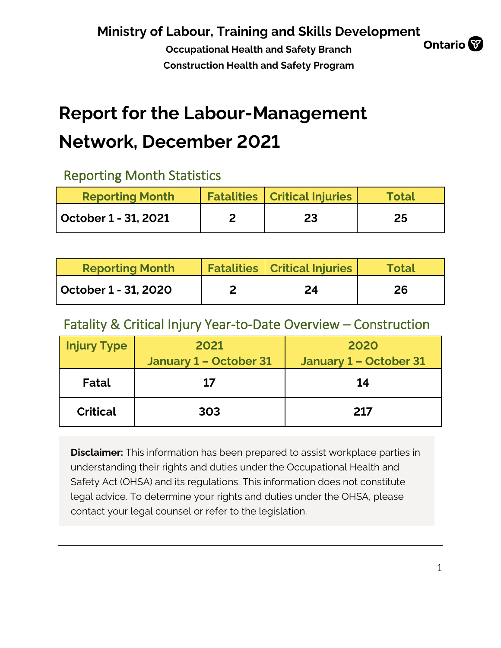**Occupational Health and Safety Branch Construction Health and Safety Program**



# **Report for the Labour-Management**

# **Network, December 2021**

### Reporting Month Statistics

| <b>Reporting Month</b> | <b>Fatalities   Critical Injuries</b> | Total |
|------------------------|---------------------------------------|-------|
| October 1 - 31, 2021   | 23                                    | 25    |

| <b>Reporting Month</b> | <b>Fatalities   Critical Injuries</b> | <b>Total</b> |
|------------------------|---------------------------------------|--------------|
| October 1 - 31, 2020   | 24                                    | 26           |

### Fatality & Critical Injury Year-to-Date Overview – Construction

| <b>Injury Type</b> | 2021<br><b>January 1 - October 31</b> | 2020<br>January 1 - October 31 |
|--------------------|---------------------------------------|--------------------------------|
| Fatal              | 17                                    | 14                             |
| <b>Critical</b>    | 303                                   | 217                            |

**Disclaimer:** This information has been prepared to assist workplace parties in understanding their rights and duties under the Occupational Health and Safety Act (OHSA) and its regulations. This information does not constitute legal advice. To determine your rights and duties under the OHSA, please contact your legal counsel or refer to the legislation.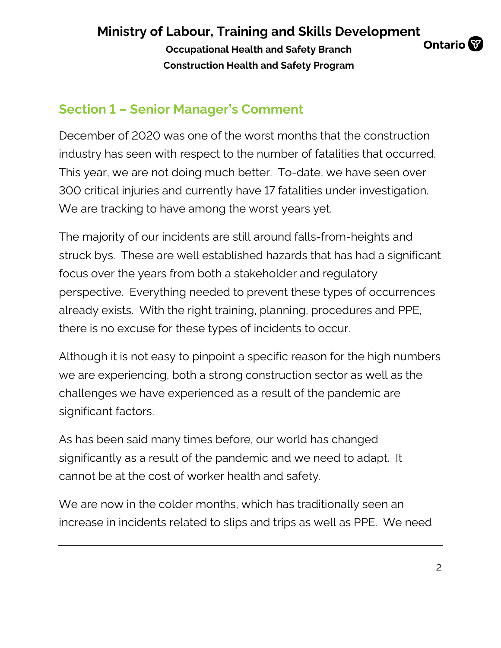**Occupational Health and Safety Branch Construction Health and Safety Program**



## **Section 1 – Senior Manager's Comment**

December of 2020 was one of the worst months that the construction industry has seen with respect to the number of fatalities that occurred. This year, we are not doing much better. To-date, we have seen over 300 critical injuries and currently have 17 fatalities under investigation. We are tracking to have among the worst years yet.

The majority of our incidents are still around falls-from-heights and struck bys. These are well established hazards that has had a significant focus over the years from both a stakeholder and regulatory perspective. Everything needed to prevent these types of occurrences already exists. With the right training, planning, procedures and PPE, there is no excuse for these types of incidents to occur.

Although it is not easy to pinpoint a specific reason for the high numbers we are experiencing, both a strong construction sector as well as the challenges we have experienced as a result of the pandemic are significant factors.

As has been said many times before, our world has changed significantly as a result of the pandemic and we need to adapt. It cannot be at the cost of worker health and safety.

We are now in the colder months, which has traditionally seen an increase in incidents related to slips and trips as well as PPE. We need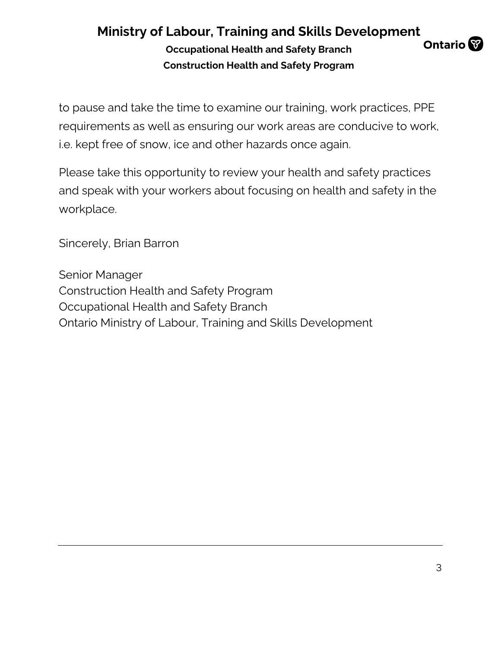#### **Ministry of Labour, Training and Skills Development Ontario Occupational Health and Safety Branch Construction Health and Safety Program**

to pause and take the time to examine our training, work practices, PPE requirements as well as ensuring our work areas are conducive to work, i.e. kept free of snow, ice and other hazards once again.

Please take this opportunity to review your health and safety practices and speak with your workers about focusing on health and safety in the workplace.

Sincerely, Brian Barron

Senior Manager Construction Health and Safety Program Occupational Health and Safety Branch Ontario Ministry of Labour, Training and Skills Development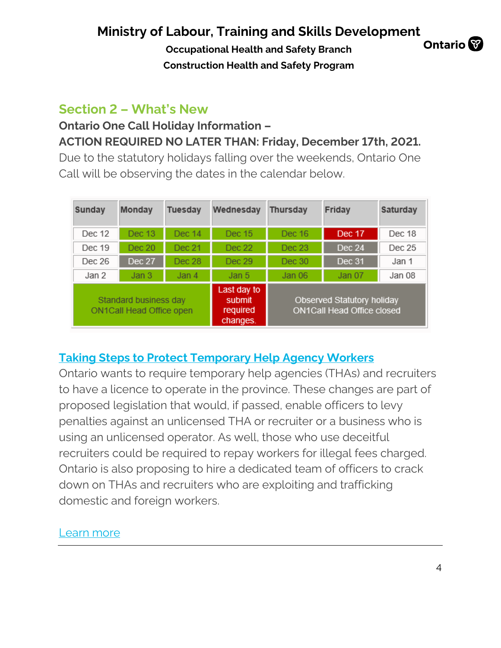**Occupational Health and Safety Branch Construction Health and Safety Program**

### **Ontario**

### **Section 2 – What's New**

## **Ontario One Call Holiday Information – ACTION REQUIRED NO LATER THAN: Friday, December 17th, 2021.**

Due to the statutory holidays falling over the weekends, Ontario One Call will be observing the dates in the calendar below.

| Sunday | Monday                                                   | <b>Tuesday</b> | Wednesday                                     | <b>Thursday</b><br>Friday |                                                                 | Saturday |
|--------|----------------------------------------------------------|----------------|-----------------------------------------------|---------------------------|-----------------------------------------------------------------|----------|
| Dec 12 | Dec 13                                                   | Dec 14         | Dec 15                                        | Dec 16                    | Dec 17                                                          | Dec 18   |
| Dec 19 | Dec 20                                                   | Dec 21         | Dec 22                                        | Dec 23                    | Dec 24                                                          | Dec 25   |
| Dec 26 | <b>Dec 27</b>                                            | Dec 28         | Dec 29                                        | Dec 30                    | Dec 31                                                          | Jan 1    |
| Jan 2  | Jan 3                                                    | Jan 4          | Jan 5                                         | Jan 06                    | Jan 07                                                          | Jan 08   |
|        | Standard business day<br><b>ON1Call Head Office open</b> |                | Last day to<br>submit<br>required<br>changes. |                           | Observed Statutory holiday<br><b>ON1Call Head Office closed</b> |          |

### **[Taking Steps to Protect Temporary Help Agency Workers](https://can01.safelinks.protection.outlook.com/?url=https%3A%2F%2Fontario.us16.list-manage.com%2Ftrack%2Fclick%3Fu%3D4ebaa11387038c3e29a6a4a8b%26id%3D0951b23517%26e%3D5a72238d16&data=04%7C01%7Cmatthew.neundorf%40ontario.ca%7Ccb7343ad026d434b721908d9af8c2ab4%7Ccddc1229ac2a4b97b78a0e5cacb5865c%7C0%7C0%7C637733838822227969%7CUnknown%7CTWFpbGZsb3d8eyJWIjoiMC4wLjAwMDAiLCJQIjoiV2luMzIiLCJBTiI6Ik1haWwiLCJXVCI6Mn0%3D%7C3000&sdata=Y%2FO8p3yCebJH0232EVcMuVc4E%2BEVzL54r2MJmsDjVvM%3D&reserved=0)**

Ontario wants to require temporary help agencies (THAs) and recruiters to have a licence to operate in the province. These changes are part of proposed legislation that would, if passed, enable officers to levy penalties against an unlicensed THA or recruiter or a business who is using an unlicensed operator. As well, those who use deceitful recruiters could be required to repay workers for illegal fees charged. Ontario is also proposing to hire a dedicated team of officers to crack down on THAs and recruiters who are exploiting and trafficking domestic and foreign workers.

### [Learn more](https://can01.safelinks.protection.outlook.com/?url=https%3A%2F%2Fontario.us16.list-manage.com%2Ftrack%2Fclick%3Fu%3D4ebaa11387038c3e29a6a4a8b%26id%3De9f8c46436%26e%3D5a72238d16&data=04%7C01%7Cmatthew.neundorf%40ontario.ca%7Ccb7343ad026d434b721908d9af8c2ab4%7Ccddc1229ac2a4b97b78a0e5cacb5865c%7C0%7C0%7C637733838822237969%7CUnknown%7CTWFpbGZsb3d8eyJWIjoiMC4wLjAwMDAiLCJQIjoiV2luMzIiLCJBTiI6Ik1haWwiLCJXVCI6Mn0%3D%7C3000&sdata=mBkJUyY9d7KJU98um2BnHu5p6Mop9HWljpGuTp%2BKI5c%3D&reserved=0)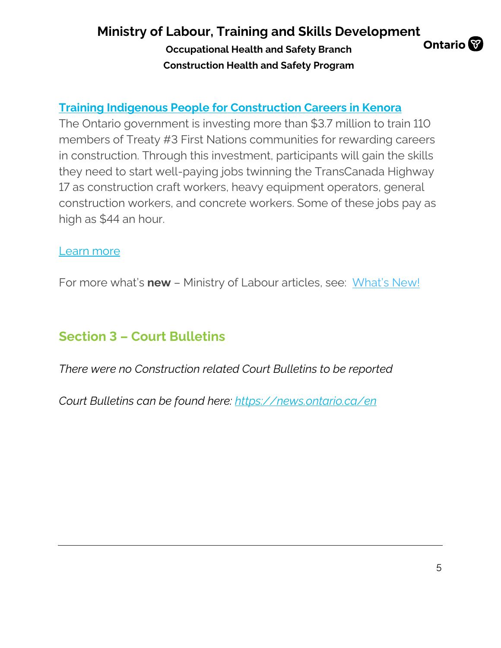**Occupational Health and Safety Branch Construction Health and Safety Program**



### **[Training Indigenous People for Construction Careers in Kenora](https://can01.safelinks.protection.outlook.com/?url=https%3A%2F%2Fontario.us16.list-manage.com%2Ftrack%2Fclick%3Fu%3D4ebaa11387038c3e29a6a4a8b%26id%3D1f64292885%26e%3D5a72238d16&data=04%7C01%7Cmatthew.neundorf%40ontario.ca%7Ccb7343ad026d434b721908d9af8c2ab4%7Ccddc1229ac2a4b97b78a0e5cacb5865c%7C0%7C0%7C637733838822237969%7CUnknown%7CTWFpbGZsb3d8eyJWIjoiMC4wLjAwMDAiLCJQIjoiV2luMzIiLCJBTiI6Ik1haWwiLCJXVCI6Mn0%3D%7C3000&sdata=k9PuLshQvMFll8naswTWBdJ0OWPRlqCcUkhn0xpB%2Fek%3D&reserved=0)**

The Ontario government is investing more than \$3.7 million to train 110 members of Treaty #3 First Nations communities for rewarding careers in construction. Through this investment, participants will gain the skills they need to start well-paying jobs twinning the TransCanada Highway 17 as construction craft workers, heavy equipment operators, general construction workers, and concrete workers. Some of these jobs pay as high as \$44 an hour.

#### [Learn more](https://can01.safelinks.protection.outlook.com/?url=https%3A%2F%2Fontario.us16.list-manage.com%2Ftrack%2Fclick%3Fu%3D4ebaa11387038c3e29a6a4a8b%26id%3D99fa6ef029%26e%3D5a72238d16&data=04%7C01%7Cmatthew.neundorf%40ontario.ca%7Ccb7343ad026d434b721908d9af8c2ab4%7Ccddc1229ac2a4b97b78a0e5cacb5865c%7C0%7C0%7C637733838822247959%7CUnknown%7CTWFpbGZsb3d8eyJWIjoiMC4wLjAwMDAiLCJQIjoiV2luMzIiLCJBTiI6Ik1haWwiLCJXVCI6Mn0%3D%7C3000&sdata=uEDd7T9w0X%2FkkOj0R%2B4i6hVzkJzdyb2X68uvARVtCCU%3D&reserved=0)

For more what's **new** – Ministry of Labour articles, see: [What's New!](https://www.labour.gov.on.ca/english/about/pubs/whatsnew/)

### **Section 3 – Court Bulletins**

*There were no Construction related Court Bulletins to be reported*

*Court Bulletins can be found here:<https://news.ontario.ca/en>*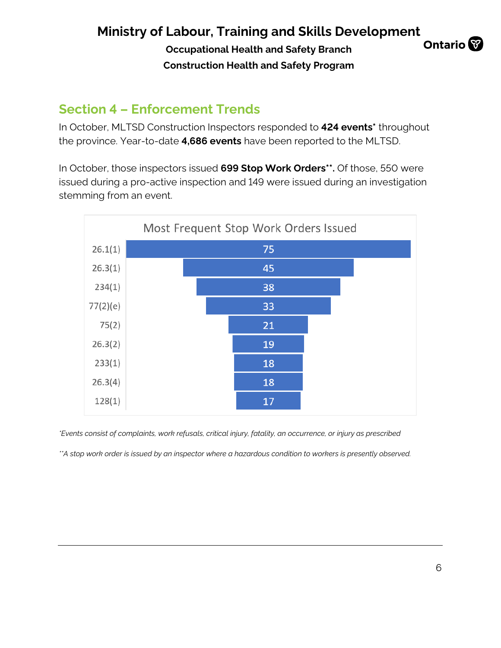**Occupational Health and Safety Branch Construction Health and Safety Program**



### **Section 4 – Enforcement Trends**

In October, MLTSD Construction Inspectors responded to **424 events\*** throughout the province. Year-to-date **4,686 events** have been reported to the MLTSD.

In October, those inspectors issued **699 Stop Work Orders\*\*.** Of those, 550 were issued during a pro-active inspection and 149 were issued during an investigation stemming from an event.



*\*Events consist of complaints, work refusals, critical injury, fatality, an occurrence, or injury as prescribed*

*\*\*A stop work order is issued by an inspector where a hazardous condition to workers is presently observed.*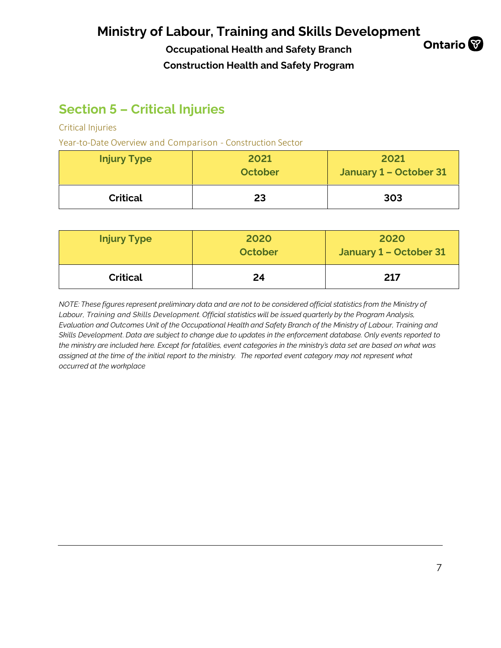**Occupational Health and Safety Branch Construction Health and Safety Program**



### **Section 5 – Critical Injuries**

Critical Injuries

Year-to-Date Overview and Comparison - Construction Sector

| <b>Injury Type</b> | 2021<br><b>October</b> | 2021<br>January 1 - October 31 |
|--------------------|------------------------|--------------------------------|
| <b>Critical</b>    | 23                     | 303                            |

| <b>Injury Type</b> | 2020<br>October | 2020<br>January 1 – October 31 |
|--------------------|-----------------|--------------------------------|
| <b>Critical</b>    | 24              | 217                            |

*NOTE: These figures represent preliminary data and are not to be considered official statistics from the Ministry of Labour, Training and Skills Development. Official statistics will be issued quarterly by the Program Analysis, Evaluation and Outcomes Unit of the Occupational Health and Safety Branch of the Ministry of Labour, Training and*  Skills Development. Data are subject to change due to updates in the enforcement database. Only events reported to the ministry are included here. Except for fatalities, event categories in the ministry's data set are based on what was *assigned at the time of the initial report to the ministry. The reported event category may not represent what occurred at the workplace*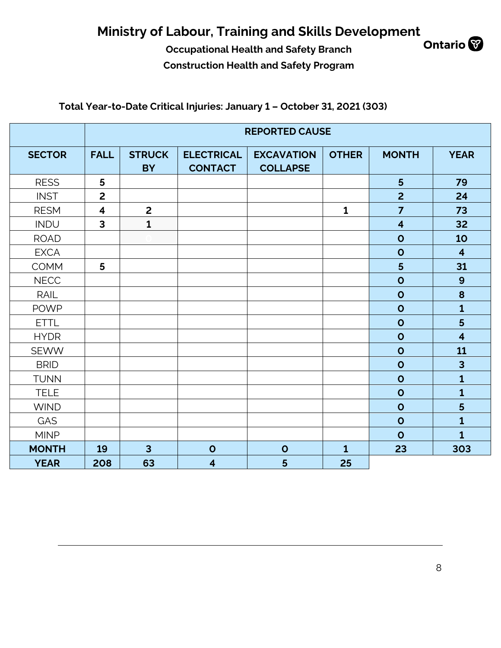## **Ministry of Labour, Training and Skills Development**<br>Occupational Health and Safety Branch Ontario

**Occupational Health and Safety Branch Construction Health and Safety Program**



### **Total Year-to-Date Critical Injuries: January 1 – October 31, 2021 (303)**

|               | <b>REPORTED CAUSE</b>   |                            |                                     |                                      |              |                         |                         |  |  |  |  |  |
|---------------|-------------------------|----------------------------|-------------------------------------|--------------------------------------|--------------|-------------------------|-------------------------|--|--|--|--|--|
| <b>SECTOR</b> | <b>FALL</b>             | <b>STRUCK</b><br><b>BY</b> | <b>ELECTRICAL</b><br><b>CONTACT</b> | <b>EXCAVATION</b><br><b>COLLAPSE</b> | <b>OTHER</b> | <b>MONTH</b>            | <b>YEAR</b>             |  |  |  |  |  |
| <b>RESS</b>   | 5                       |                            |                                     |                                      |              | $5\phantom{1}$          | 79                      |  |  |  |  |  |
| <b>INST</b>   | $\overline{2}$          |                            |                                     |                                      |              | $\overline{2}$          | 24                      |  |  |  |  |  |
| <b>RESM</b>   | $\overline{\mathbf{4}}$ | $\overline{2}$             |                                     |                                      | $\mathbf{1}$ | $\overline{7}$          | 73                      |  |  |  |  |  |
| <b>INDU</b>   | $\overline{\mathbf{3}}$ | $\mathbf{1}$               |                                     |                                      |              | $\overline{\mathbf{4}}$ | 32                      |  |  |  |  |  |
| <b>ROAD</b>   |                         |                            |                                     |                                      |              | $\mathbf{o}$            | 10                      |  |  |  |  |  |
| <b>EXCA</b>   |                         |                            |                                     |                                      |              | $\mathbf 0$             | $\overline{\mathbf{4}}$ |  |  |  |  |  |
| <b>COMM</b>   | 5                       |                            |                                     |                                      |              | 5                       | 31                      |  |  |  |  |  |
| <b>NECC</b>   |                         |                            |                                     |                                      |              | $\mathbf{o}$            | $\boldsymbol{9}$        |  |  |  |  |  |
| <b>RAIL</b>   |                         |                            |                                     |                                      |              | $\mathbf{o}$            | 8                       |  |  |  |  |  |
| <b>POWP</b>   |                         |                            |                                     |                                      |              | $\mathbf{o}$            | $\mathbf{1}$            |  |  |  |  |  |
| <b>ETTL</b>   |                         |                            |                                     |                                      |              | $\mathbf{o}$            | 5                       |  |  |  |  |  |
| <b>HYDR</b>   |                         |                            |                                     |                                      |              | $\mathbf 0$             | $\overline{\mathbf{4}}$ |  |  |  |  |  |
| <b>SEWW</b>   |                         |                            |                                     |                                      |              | $\mathbf{o}$            | 11                      |  |  |  |  |  |
| <b>BRID</b>   |                         |                            |                                     |                                      |              | $\mathbf{o}$            | $\overline{\mathbf{3}}$ |  |  |  |  |  |
| <b>TUNN</b>   |                         |                            |                                     |                                      |              | $\mathbf{o}$            | $\mathbf{1}$            |  |  |  |  |  |
| <b>TELE</b>   |                         |                            |                                     |                                      |              | $\mathbf{o}$            | $\mathbf{1}$            |  |  |  |  |  |
| <b>WIND</b>   |                         |                            |                                     |                                      |              | $\mathbf{o}$            | 5                       |  |  |  |  |  |
| GAS           |                         |                            |                                     |                                      |              | $\mathbf{o}$            | $\mathbf{1}$            |  |  |  |  |  |
| <b>MINP</b>   |                         |                            |                                     |                                      |              | $\mathbf{o}$            | $\overline{1}$          |  |  |  |  |  |
| <b>MONTH</b>  | 19                      | $\overline{3}$             | $\mathbf{o}$                        | $\mathbf{o}$                         | $\mathbf{1}$ | 23                      | 303                     |  |  |  |  |  |
| <b>YEAR</b>   | 208                     | 63                         | $\overline{\mathbf{4}}$             | 5                                    | 25           |                         |                         |  |  |  |  |  |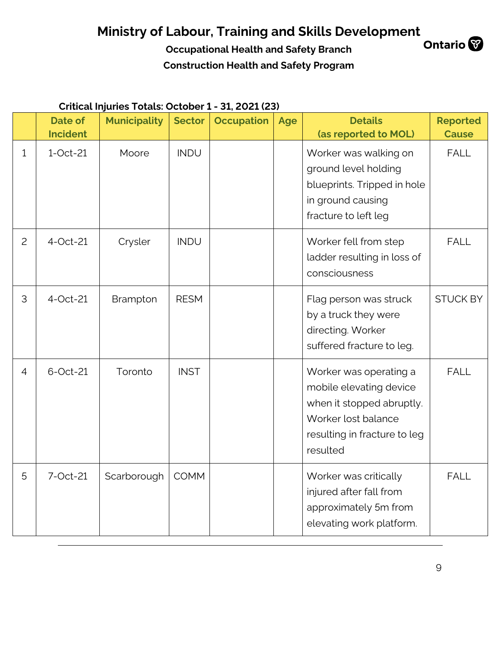## **Ministry of Labour, Training and Skills Development**<br>Occupational Health and Safety Branch Ontario

**Occupational Health and Safety Branch Construction Health and Safety Program**



### **Critical Injuries Totals: October 1 - 31, 2021 (23)**

|                | <b>Date of</b><br><b>Incident</b> | <b>Municipality</b> | <b>Sector</b> | <b>Occupation</b> | <b>Age</b> | <b>Details</b>                                                                                                                                    | <b>Reported</b><br><b>Cause</b> |
|----------------|-----------------------------------|---------------------|---------------|-------------------|------------|---------------------------------------------------------------------------------------------------------------------------------------------------|---------------------------------|
| $\mathbf{1}$   | $1-Oct-21$                        | Moore               | <b>INDU</b>   |                   |            | (as reported to MOL)<br>Worker was walking on<br>ground level holding<br>blueprints. Tripped in hole<br>in ground causing<br>fracture to left leg | <b>FALL</b>                     |
| $\overline{2}$ | 4-Oct-21                          | Crysler             | <b>INDU</b>   |                   |            | Worker fell from step<br>ladder resulting in loss of<br>consciousness                                                                             | <b>FALL</b>                     |
| 3              | 4-Oct-21                          | Brampton            | <b>RESM</b>   |                   |            | Flag person was struck<br>by a truck they were<br>directing. Worker<br>suffered fracture to leg.                                                  | <b>STUCK BY</b>                 |
| $\overline{4}$ | 6-Oct-21                          | Toronto             | <b>INST</b>   |                   |            | Worker was operating a<br>mobile elevating device<br>when it stopped abruptly.<br>Worker lost balance<br>resulting in fracture to leg<br>resulted | <b>FALL</b>                     |
| 5              | 7-Oct-21                          | Scarborough         | <b>COMM</b>   |                   |            | Worker was critically<br>injured after fall from<br>approximately 5m from<br>elevating work platform.                                             | <b>FALL</b>                     |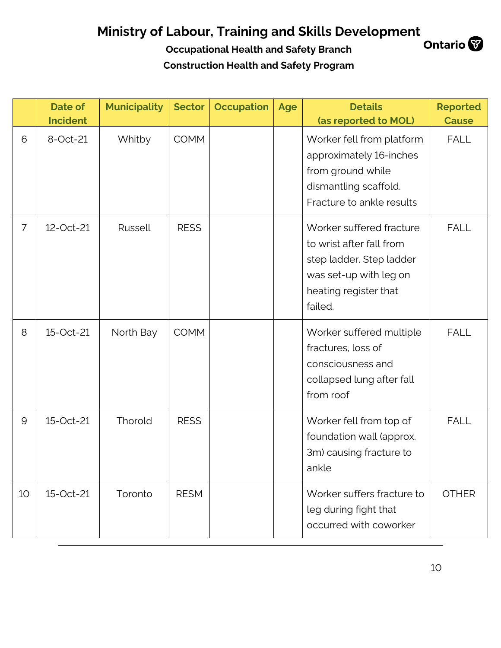|                 | Date of<br><b>Incident</b> | <b>Municipality</b> | <b>Sector</b> | <b>Occupation</b> | Age | <b>Details</b><br>(as reported to MOL)                                                                                                         | <b>Reported</b><br><b>Cause</b> |
|-----------------|----------------------------|---------------------|---------------|-------------------|-----|------------------------------------------------------------------------------------------------------------------------------------------------|---------------------------------|
| 6               | 8-Oct-21                   | Whitby              | <b>COMM</b>   |                   |     | Worker fell from platform<br>approximately 16-inches<br>from ground while<br>dismantling scaffold.<br>Fracture to ankle results                | <b>FALL</b>                     |
| $\overline{7}$  | 12-Oct-21                  | Russell             | <b>RESS</b>   |                   |     | Worker suffered fracture<br>to wrist after fall from<br>step ladder. Step ladder<br>was set-up with leg on<br>heating register that<br>failed. | <b>FALL</b>                     |
| 8               | 15-Oct-21                  | North Bay           | <b>COMM</b>   |                   |     | Worker suffered multiple<br>fractures, loss of<br>consciousness and<br>collapsed lung after fall<br>from roof                                  | <b>FALL</b>                     |
| 9               | 15-Oct-21                  | Thorold             | <b>RESS</b>   |                   |     | Worker fell from top of<br>foundation wall (approx.<br>3m) causing fracture to<br>ankle                                                        | <b>FALL</b>                     |
| 10 <sup>°</sup> | 15-Oct-21                  | Toronto             | <b>RESM</b>   |                   |     | Worker suffers fracture to<br>leg during fight that<br>occurred with coworker                                                                  | <b>OTHER</b>                    |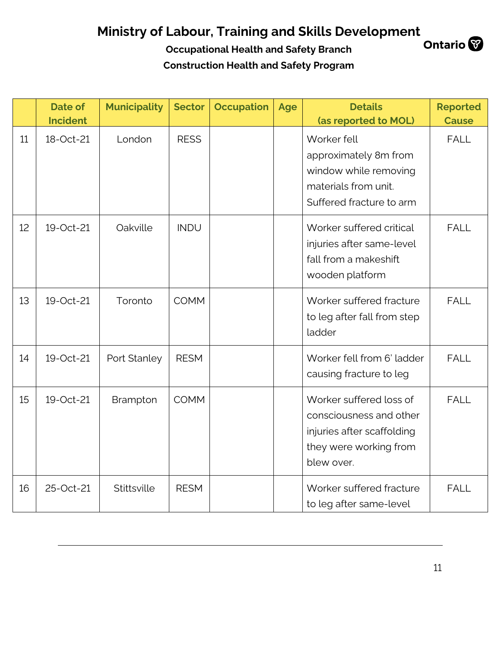|    | <b>Date of</b><br><b>Incident</b> | <b>Municipality</b> | <b>Sector</b> | <b>Occupation</b> | Age | <b>Details</b><br>(as reported to MOL)                                                                                   | <b>Reported</b><br><b>Cause</b> |
|----|-----------------------------------|---------------------|---------------|-------------------|-----|--------------------------------------------------------------------------------------------------------------------------|---------------------------------|
| 11 | 18-Oct-21                         | London              | <b>RESS</b>   |                   |     | Worker fell<br>approximately 8m from<br>window while removing<br>materials from unit.<br>Suffered fracture to arm        | <b>FALL</b>                     |
| 12 | 19-Oct-21                         | Oakville            | <b>INDU</b>   |                   |     | Worker suffered critical<br>injuries after same-level<br>fall from a makeshift<br>wooden platform                        | <b>FALL</b>                     |
| 13 | 19-Oct-21                         | Toronto             | <b>COMM</b>   |                   |     | Worker suffered fracture<br>to leg after fall from step<br>ladder                                                        | <b>FALL</b>                     |
| 14 | 19-Oct-21                         | Port Stanley        | <b>RESM</b>   |                   |     | Worker fell from 6' ladder<br>causing fracture to leg                                                                    | <b>FALL</b>                     |
| 15 | 19-Oct-21                         | Brampton            | <b>COMM</b>   |                   |     | Worker suffered loss of<br>consciousness and other<br>injuries after scaffolding<br>they were working from<br>blew over. | <b>FALL</b>                     |
| 16 | 25-Oct-21                         | Stittsville         | <b>RESM</b>   |                   |     | Worker suffered fracture<br>to leg after same-level                                                                      | <b>FALL</b>                     |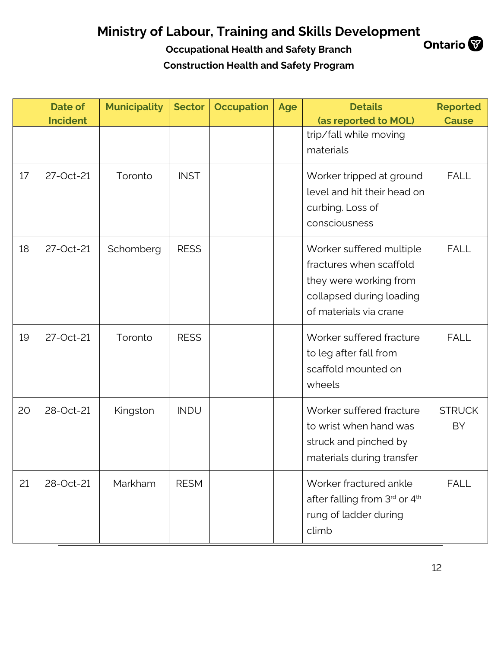|    | <b>Date of</b><br><b>Incident</b> | <b>Municipality</b> | <b>Sector</b> | <b>Occupation</b> | Age | <b>Details</b><br>(as reported to MOL)                                                                                              | <b>Reported</b><br><b>Cause</b> |
|----|-----------------------------------|---------------------|---------------|-------------------|-----|-------------------------------------------------------------------------------------------------------------------------------------|---------------------------------|
|    |                                   |                     |               |                   |     | trip/fall while moving<br>materials                                                                                                 |                                 |
| 17 | 27-Oct-21                         | Toronto             | <b>INST</b>   |                   |     | Worker tripped at ground<br>level and hit their head on<br>curbing. Loss of<br>consciousness                                        | <b>FALL</b>                     |
| 18 | 27-Oct-21                         | Schomberg           | <b>RESS</b>   |                   |     | Worker suffered multiple<br>fractures when scaffold<br>they were working from<br>collapsed during loading<br>of materials via crane | <b>FALL</b>                     |
| 19 | 27-Oct-21                         | Toronto             | <b>RESS</b>   |                   |     | Worker suffered fracture<br>to leg after fall from<br>scaffold mounted on<br>wheels                                                 | <b>FALL</b>                     |
| 20 | 28-Oct-21                         | Kingston            | <b>INDU</b>   |                   |     | Worker suffered fracture<br>to wrist when hand was<br>struck and pinched by<br>materials during transfer                            | <b>STRUCK</b><br>BY             |
| 21 | 28-Oct-21                         | Markham             | <b>RESM</b>   |                   |     | Worker fractured ankle<br>after falling from 3rd or 4th<br>rung of ladder during<br>climb                                           | <b>FALL</b>                     |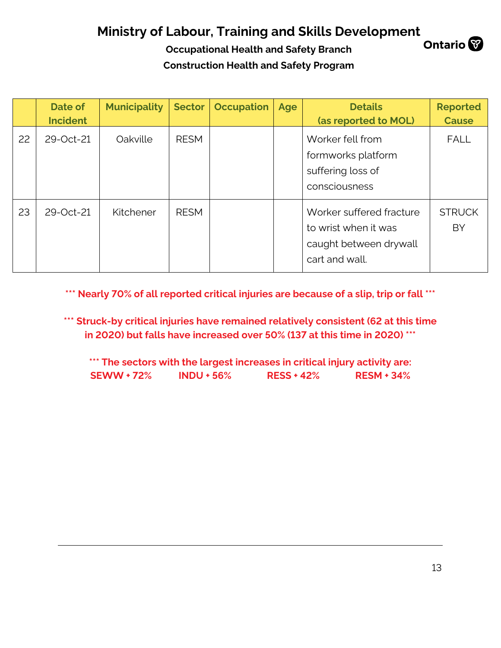**Occupational Health and Safety Branch Construction Health and Safety Program**

|    | Date of<br><b>Incident</b> | <b>Municipality</b> | <b>Sector</b> | <b>Occupation</b> | Age | <b>Details</b><br>(as reported to MOL)                                                       | <b>Reported</b><br><b>Cause</b> |
|----|----------------------------|---------------------|---------------|-------------------|-----|----------------------------------------------------------------------------------------------|---------------------------------|
| 22 | 29-Oct-21                  | Oakville            | <b>RESM</b>   |                   |     | Worker fell from<br>formworks platform<br>suffering loss of<br>consciousness                 | <b>FALL</b>                     |
| 23 | 29-Oct-21                  | Kitchener           | <b>RESM</b>   |                   |     | Worker suffered fracture<br>to wrist when it was<br>caught between drywall<br>cart and wall. | <b>STRUCK</b><br>BY             |

**\*\*\* Nearly 70% of all reported critical injuries are because of a slip, trip or fall \*\*\***

**\*\*\* Struck-by critical injuries have remained relatively consistent (62 at this time in 2020) but falls have increased over 50% (137 at this time in 2020) \*\*\***

**\*\*\* The sectors with the largest increases in critical injury activity are: SEWW + 72% INDU + 56% RESS + 42% RESM + 34%**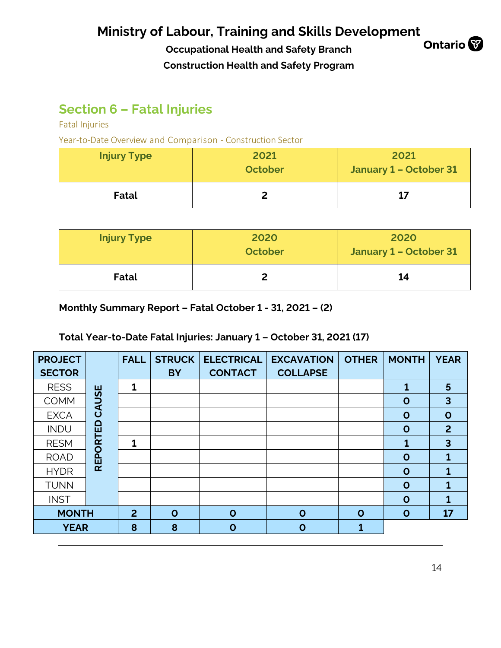**Occupational Health and Safety Branch Construction Health and Safety Program**



### **Section 6 – Fatal Injuries**

Fatal Injuries

Year-to-Date Overview and Comparison - Construction Sector

| <b>Injury Type</b> | 2021<br><b>October</b> | 2021<br>January 1 - October 31 |
|--------------------|------------------------|--------------------------------|
| Fatal              |                        | 17                             |

| <b>Injury Type</b> | 2020<br>October | 2020<br>January 1 - October 31 |
|--------------------|-----------------|--------------------------------|
| Fatal              |                 | 14                             |

**Monthly Summary Report – Fatal October 1 - 31, 2021 – (2)** 

### **Total Year-to-Date Fatal Injuries: January 1 – October 31, 2021 (17)**

| <b>PROJECT</b> |                 | <b>FALL</b>    | <b>STRUCK</b> | <b>ELECTRICAL</b> | <b>EXCAVATION</b> | <b>OTHER</b> | <b>MONTH</b> | <b>YEAR</b>             |
|----------------|-----------------|----------------|---------------|-------------------|-------------------|--------------|--------------|-------------------------|
| <b>SECTOR</b>  |                 |                | <b>BY</b>     | <b>CONTACT</b>    | <b>COLLAPSE</b>   |              |              |                         |
| <b>RESS</b>    |                 | 1              |               |                   |                   |              |              | 5                       |
| <b>COMM</b>    | CAUSE           |                |               |                   |                   |              | $\mathbf 0$  | $\overline{3}$          |
| <b>EXCA</b>    |                 |                |               |                   |                   |              | $\mathbf 0$  | $\mathbf O$             |
| <b>INDU</b>    | <b>REPORTED</b> |                |               |                   |                   |              | $\mathbf O$  | $\overline{2}$          |
| <b>RESM</b>    |                 | 1              |               |                   |                   |              | 1            | $\overline{\mathbf{3}}$ |
| <b>ROAD</b>    |                 |                |               |                   |                   |              | $\mathbf O$  |                         |
| <b>HYDR</b>    |                 |                |               |                   |                   |              | $\mathbf O$  | 1                       |
| <b>TUNN</b>    |                 |                |               |                   |                   |              | $\mathbf O$  |                         |
| <b>INST</b>    |                 |                |               |                   |                   |              | $\mathbf O$  | 1                       |
| <b>MONTH</b>   |                 | $\overline{2}$ | $\mathbf{o}$  | $\mathbf O$       | $\mathbf O$       | $\mathbf O$  | $\mathbf O$  | 17                      |
| <b>YEAR</b>    |                 | 8              | 8             | $\mathbf O$       | O                 | 1            |              |                         |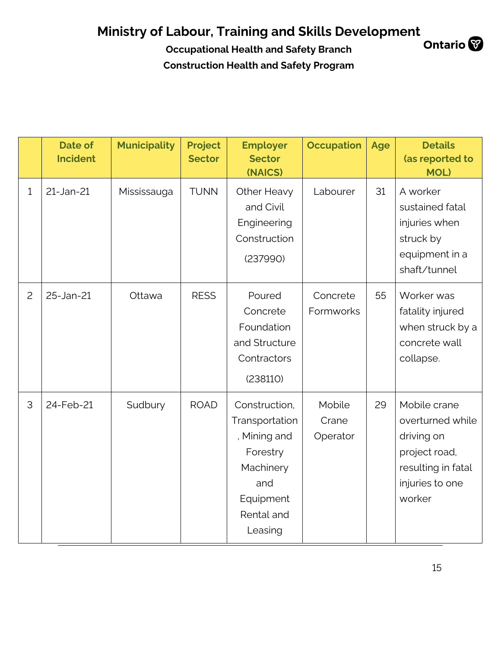|                | <b>Date of</b><br><b>Incident</b> | <b>Municipality</b> | <b>Project</b><br><b>Sector</b> | <b>Employer</b><br><b>Sector</b><br>(NAICS)                                                                           | <b>Occupation</b>           | Age | <b>Details</b><br>(as reported to<br><b>MOL)</b>                                                                   |
|----------------|-----------------------------------|---------------------|---------------------------------|-----------------------------------------------------------------------------------------------------------------------|-----------------------------|-----|--------------------------------------------------------------------------------------------------------------------|
| $\mathbf{1}$   | 21-Jan-21                         | Mississauga         | <b>TUNN</b>                     | Other Heavy<br>and Civil<br>Engineering<br>Construction<br>(237990)                                                   | Labourer                    | 31  | A worker<br>sustained fatal<br>injuries when<br>struck by<br>equipment in a<br>shaft/tunnel                        |
| $\overline{c}$ | 25-Jan-21                         | Ottawa              | <b>RESS</b>                     | Poured<br>Concrete<br>Foundation<br>and Structure<br>Contractors<br>(238110)                                          | Concrete<br>Formworks       | 55  | Worker was<br>fatality injured<br>when struck by a<br>concrete wall<br>collapse.                                   |
| 3              | 24-Feb-21                         | Sudbury             | <b>ROAD</b>                     | Construction,<br>Transportation<br>, Mining and<br>Forestry<br>Machinery<br>and<br>Equipment<br>Rental and<br>Leasing | Mobile<br>Crane<br>Operator | 29  | Mobile crane<br>overturned while<br>driving on<br>project road,<br>resulting in fatal<br>injuries to one<br>worker |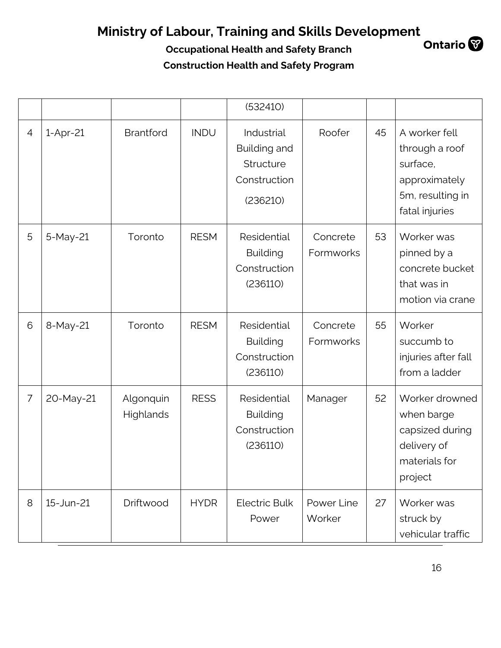|                |            |                               |             | (532410)                                                                   |                       |    |                                                                                                    |
|----------------|------------|-------------------------------|-------------|----------------------------------------------------------------------------|-----------------------|----|----------------------------------------------------------------------------------------------------|
| $\overline{4}$ | $1-Apr-21$ | <b>Brantford</b>              | <b>INDU</b> | Industrial<br><b>Building and</b><br>Structure<br>Construction<br>(236210) | Roofer                | 45 | A worker fell<br>through a roof<br>surface,<br>approximately<br>5m, resulting in<br>fatal injuries |
| 5              | 5-May-21   | Toronto                       | <b>RESM</b> | Residential<br><b>Building</b><br>Construction<br>(236110)                 | Concrete<br>Formworks | 53 | Worker was<br>pinned by a<br>concrete bucket<br>that was in<br>motion via crane                    |
| 6              | 8-May-21   | Toronto                       | <b>RESM</b> | Residential<br><b>Building</b><br>Construction<br>(236110)                 | Concrete<br>Formworks | 55 | Worker<br>succumb to<br>injuries after fall<br>from a ladder                                       |
| $\overline{7}$ | 20-May-21  | Algonquin<br><b>Highlands</b> | <b>RESS</b> | Residential<br><b>Building</b><br>Construction<br>(236110)                 | Manager               | 52 | Worker drowned<br>when barge<br>capsized during<br>delivery of<br>materials for<br>project         |
| 8              | 15-Jun-21  | Driftwood                     | <b>HYDR</b> | <b>Electric Bulk</b><br>Power                                              | Power Line<br>Worker  | 27 | Worker was<br>struck by<br>vehicular traffic                                                       |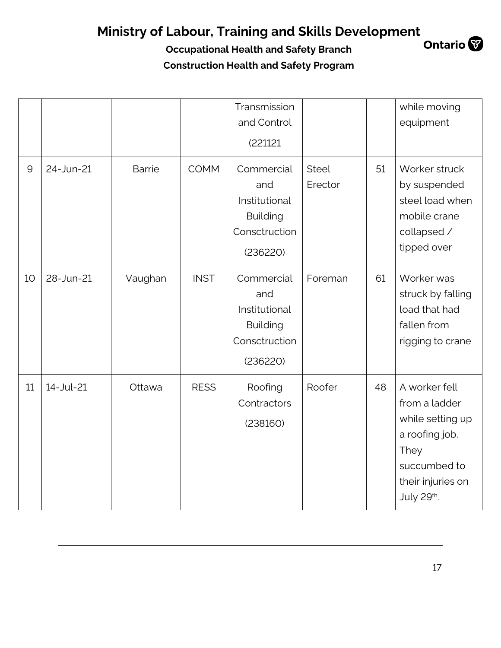**Occupational Health and Safety Branch Construction Health and Safety Program**

|              |           |               |             | Transmission<br>and Control<br>(221121                                             |                         |    | while moving<br>equipment                                                                                                       |
|--------------|-----------|---------------|-------------|------------------------------------------------------------------------------------|-------------------------|----|---------------------------------------------------------------------------------------------------------------------------------|
| $\mathsf{Q}$ | 24-Jun-21 | <b>Barrie</b> | <b>COMM</b> | Commercial<br>and<br>Institutional<br><b>Building</b><br>Consctruction<br>(236220) | <b>Steel</b><br>Erector | 51 | Worker struck<br>by suspended<br>steel load when<br>mobile crane<br>collapsed /<br>tipped over                                  |
| 10           | 28-Jun-21 | Vaughan       | <b>INST</b> | Commercial<br>and<br>Institutional<br><b>Building</b><br>Consctruction<br>(236220) | Foreman                 | 61 | Worker was<br>struck by falling<br>load that had<br>fallen from<br>rigging to crane                                             |
| 11           | 14-Jul-21 | Ottawa        | <b>RESS</b> | Roofing<br>Contractors<br>(238160)                                                 | Roofer                  | 48 | A worker fell<br>from a ladder<br>while setting up<br>a roofing job.<br>They<br>succumbed to<br>their injuries on<br>July 29th. |

17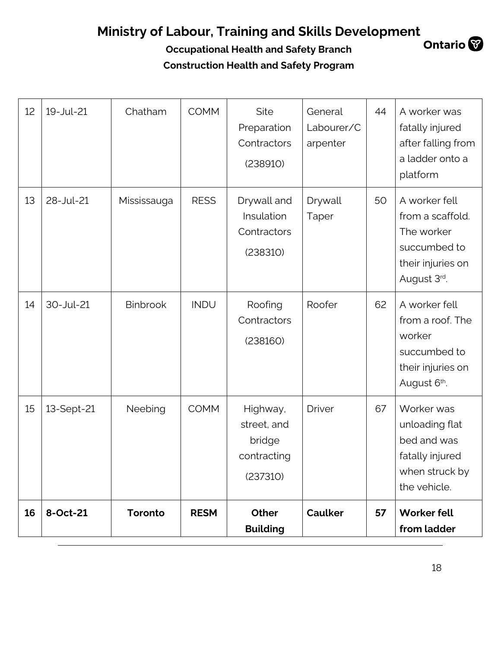| 12 | 19-Jul-21  | Chatham         | <b>COMM</b> | Site<br>Preparation<br>Contractors<br>(238910)               | General<br>Labourer/C<br>arpenter | 44 | A worker was<br>fatally injured<br>after falling from<br>a ladder onto a<br>platform                |
|----|------------|-----------------|-------------|--------------------------------------------------------------|-----------------------------------|----|-----------------------------------------------------------------------------------------------------|
| 13 | 28-Jul-21  | Mississauga     | <b>RESS</b> | Drywall and<br>Insulation<br>Contractors<br>(238310)         | Drywall<br>Taper                  | 50 | A worker fell<br>from a scaffold.<br>The worker<br>succumbed to<br>their injuries on<br>August 3rd. |
| 14 | 30-Jul-21  | <b>Binbrook</b> | <b>INDU</b> | Roofing<br>Contractors<br>(238160)                           | Roofer                            | 62 | A worker fell<br>from a roof. The<br>worker<br>succumbed to<br>their injuries on<br>August 6th.     |
| 15 | 13-Sept-21 | Neebing         | <b>COMM</b> | Highway,<br>street, and<br>bridge<br>contracting<br>(237310) | <b>Driver</b>                     | 67 | Worker was<br>unloading flat<br>bed and was<br>fatally injured<br>when struck by<br>the vehicle.    |
| 16 | 8-Oct-21   | Toronto         | <b>RESM</b> | Other<br><b>Building</b>                                     | <b>Caulker</b>                    | 57 | <b>Worker fell</b><br>from ladder                                                                   |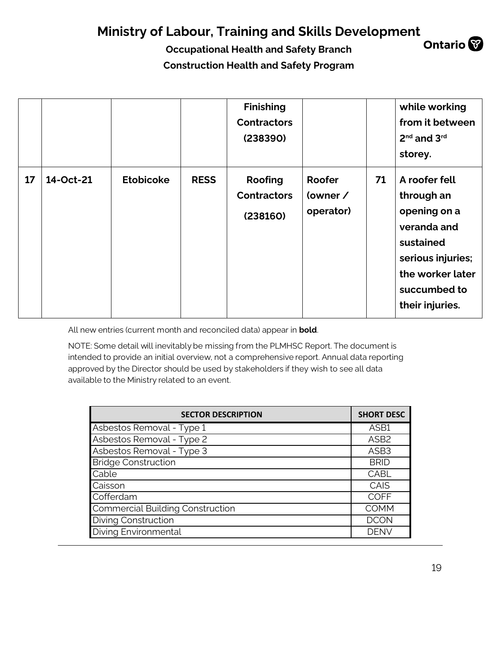**Occupational Health and Safety Branch Construction Health and Safety Program**

|    |           |                  |             | <b>Finishing</b><br><b>Contractors</b><br>(238390) |                                 |    | while working<br>from it between<br>2 <sup>nd</sup> and 3 <sup>rd</sup><br>storey.                                                                  |
|----|-----------|------------------|-------------|----------------------------------------------------|---------------------------------|----|-----------------------------------------------------------------------------------------------------------------------------------------------------|
| 17 | 14-Oct-21 | <b>Etobicoke</b> | <b>RESS</b> | Roofing<br><b>Contractors</b><br>(238160)          | Roofer<br>(owner /<br>operator) | 71 | A roofer fell<br>through an<br>opening on a<br>veranda and<br>sustained<br>serious injuries;<br>the worker later<br>succumbed to<br>their injuries. |

All new entries (current month and reconciled data) appear in **bold**.

NOTE: Some detail will inevitably be missing from the PLMHSC Report. The document is intended to provide an initial overview, not a comprehensive report. Annual data reporting approved by the Director should be used by stakeholders if they wish to see all data available to the Ministry related to an event.

| <b>SECTOR DESCRIPTION</b>        | <b>SHORT DESC</b> |
|----------------------------------|-------------------|
| Asbestos Removal - Type 1        | ASB1              |
| Asbestos Removal - Type 2        | ASB <sub>2</sub>  |
| Asbestos Removal - Type 3        | ASB <sub>3</sub>  |
| <b>Bridge Construction</b>       | <b>BRID</b>       |
| Cable                            | CABL              |
| Caisson                          | CAIS              |
| Cofferdam                        | <b>COFF</b>       |
| Commercial Building Construction | <b>COMM</b>       |
| <b>Diving Construction</b>       | <b>DCON</b>       |
| Diving Environmental             | <b>DENV</b>       |

19